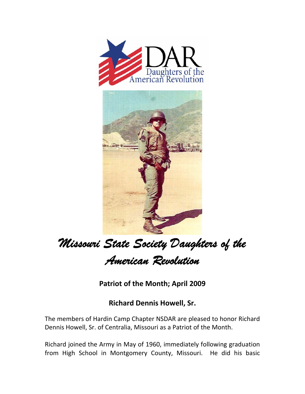



## *Missouri State Society Daughters of the*

*American Revolution* 

**Patriot of the Month; April 2009**

## **Richard Dennis Howell, Sr.**

The members of Hardin Camp Chapter NSDAR are pleased to honor Richard Dennis Howell, Sr. of Centralia, Missouri as a Patriot of the Month.

Richard joined the Army in May of 1960, immediately following graduation from High School in Montgomery County, Missouri. He did his basic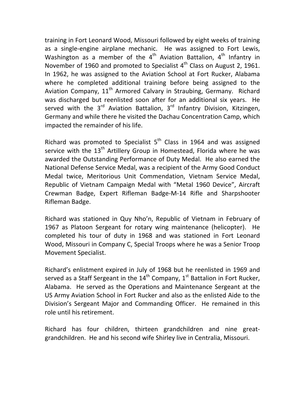training in Fort Leonard Wood, Missouri followed by eight weeks of training as a single-engine airplane mechanic. He was assigned to Fort Lewis, Washington as a member of the  $4<sup>th</sup>$  Aviation Battalion,  $4<sup>th</sup>$  Infantry in November of 1960 and promoted to Specialist  $4<sup>th</sup>$  Class on August 2, 1961. In 1962, he was assigned to the Aviation School at Fort Rucker, Alabama where he completed additional training before being assigned to the Aviation Company,  $11<sup>th</sup>$  Armored Calvary in Straubing, Germany. Richard was discharged but reenlisted soon after for an additional six years. He served with the  $3^{rd}$  Aviation Battalion,  $3^{rd}$  Infantry Division, Kitzingen, Germany and while there he visited the Dachau Concentration Camp, which impacted the remainder of his life.

Richard was promoted to Specialist  $5<sup>th</sup>$  Class in 1964 and was assigned service with the 13<sup>th</sup> Artillery Group in Homestead, Florida where he was awarded the Outstanding Performance of Duty Medal. He also earned the National Defense Service Medal, was a recipient of the Army Good Conduct Medal twice, Meritorious Unit Commendation, Vietnam Service Medal, Republic of Vietnam Campaign Medal with "Metal 1960 Device", Aircraft Crewman Badge, Expert Rifleman Badge‐M‐14 Rifle and Sharpshooter Rifleman Badge.

Richard was stationed in Quy Nho'n, Republic of Vietnam in February of 1967 as Platoon Sergeant for rotary wing maintenance (helicopter). He completed his tour of duty in 1968 and was stationed in Fort Leonard Wood, Missouri in Company C, Special Troops where he was a Senior Troop Movement Specialist.

Richard's enlistment expired in July of 1968 but he reenlisted in 1969 and served as a Staff Sergeant in the  $14^{th}$  Company,  $1^{st}$  Battalion in Fort Rucker, Alabama. He served as the Operations and Maintenance Sergeant at the US Army Aviation School in Fort Rucker and also as the enlisted Aide to the Division's Sergeant Major and Commanding Officer. He remained in this role until his retirement.

Richard has four children, thirteen grandchildren and nine great‐ grandchildren. He and his second wife Shirley live in Centralia, Missouri.